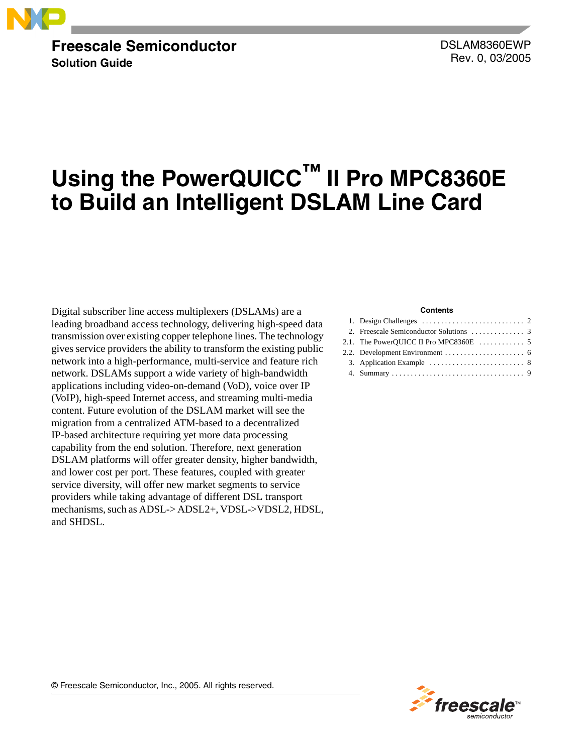

## **Freescale Semiconductor Solution Guide**

DSLAM8360EWP Rev. 0, 03/2005

# **Using the PowerQUICC™ II Pro MPC8360E to Build an Intelligent DSLAM Line Card**

Digital subscriber line access multiplexers (DSLAMs) are a leading broadband access technology, delivering high-speed data transmission over existing copper telephone lines. The technology gives service providers the ability to transform the existing public network into a high-performance, multi-service and feature rich network. DSLAMs support a wide variety of high-bandwidth applications including video-on-demand (VoD), voice over IP (VoIP), high-speed Internet access, and streaming multi-media content. Future evolution of the DSLAM market will see the migration from a centralized ATM-based to a decentralized IP-based architecture requiring yet more data processing capability from the end solution. Therefore, next generation DSLAM platforms will offer greater density, higher bandwidth, and lower cost per port. These features, coupled with greater service diversity, will offer new market segments to service providers while taking advantage of different DSL transport mechanisms, such as ADSL-> ADSL2+, VDSL->VDSL2, HDSL, and SHDSL.

#### **Contents**

| 2.2. Development Environment $\dots\dots\dots\dots\dots\dots\dots$ 6 |  |
|----------------------------------------------------------------------|--|
|                                                                      |  |
|                                                                      |  |



© Freescale Semiconductor, Inc., 2005. All rights reserved.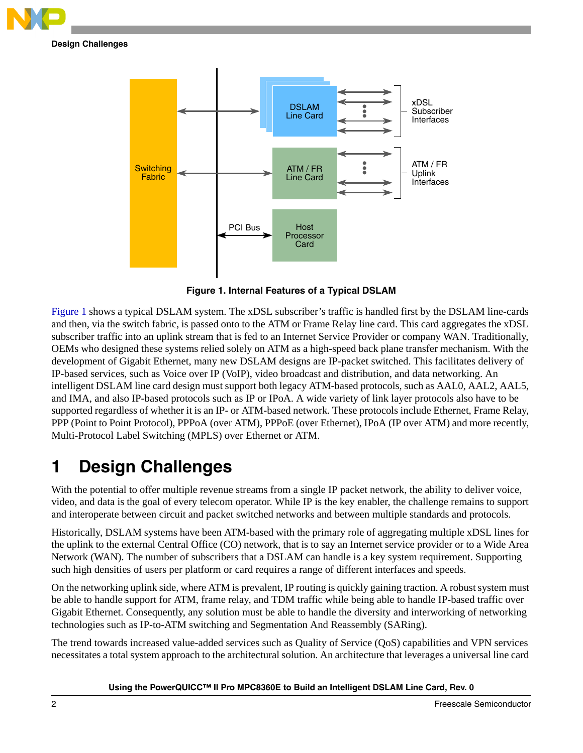

**Design Challenges**



**Figure 1. Internal Features of a Typical DSLAM**

<span id="page-1-1"></span>[Figure 1](#page-1-1) shows a typical DSLAM system. The xDSL subscriber's traffic is handled first by the DSLAM line-cards and then, via the switch fabric, is passed onto to the ATM or Frame Relay line card. This card aggregates the xDSL subscriber traffic into an uplink stream that is fed to an Internet Service Provider or company WAN. Traditionally, OEMs who designed these systems relied solely on ATM as a high-speed back plane transfer mechanism. With the development of Gigabit Ethernet, many new DSLAM designs are IP-packet switched. This facilitates delivery of IP-based services, such as Voice over IP (VoIP), video broadcast and distribution, and data networking. An intelligent DSLAM line card design must support both legacy ATM-based protocols, such as AAL0, AAL2, AAL5, and IMA, and also IP-based protocols such as IP or IPoA. A wide variety of link layer protocols also have to be supported regardless of whether it is an IP- or ATM-based network. These protocols include Ethernet, Frame Relay, PPP (Point to Point Protocol), PPPoA (over ATM), PPPoE (over Ethernet), IPoA (IP over ATM) and more recently, Multi-Protocol Label Switching (MPLS) over Ethernet or ATM.

# <span id="page-1-0"></span>**1 Design Challenges**

With the potential to offer multiple revenue streams from a single IP packet network, the ability to deliver voice, video, and data is the goal of every telecom operator. While IP is the key enabler, the challenge remains to support and interoperate between circuit and packet switched networks and between multiple standards and protocols.

Historically, DSLAM systems have been ATM-based with the primary role of aggregating multiple xDSL lines for the uplink to the external Central Office (CO) network, that is to say an Internet service provider or to a Wide Area Network (WAN). The number of subscribers that a DSLAM can handle is a key system requirement. Supporting such high densities of users per platform or card requires a range of different interfaces and speeds.

On the networking uplink side, where ATM is prevalent, IP routing is quickly gaining traction. A robust system must be able to handle support for ATM, frame relay, and TDM traffic while being able to handle IP-based traffic over Gigabit Ethernet. Consequently, any solution must be able to handle the diversity and interworking of networking technologies such as IP-to-ATM switching and Segmentation And Reassembly (SARing).

The trend towards increased value-added services such as Quality of Service (QoS) capabilities and VPN services necessitates a total system approach to the architectural solution. An architecture that leverages a universal line card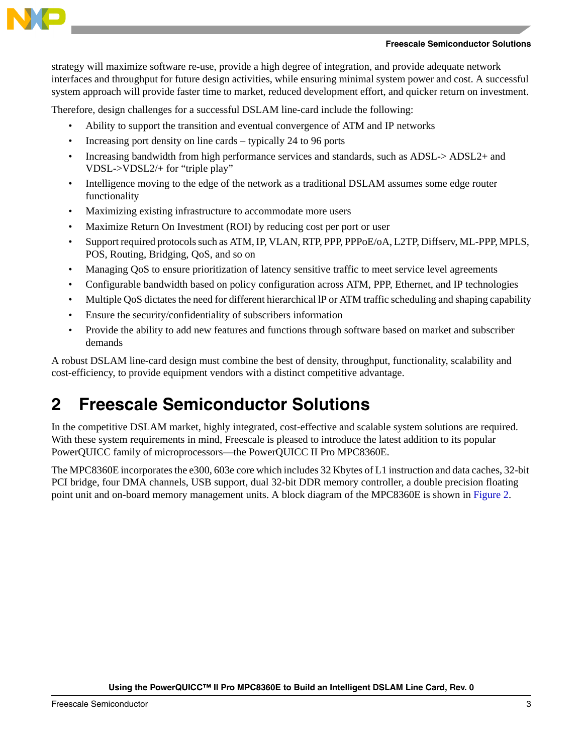

strategy will maximize software re-use, provide a high degree of integration, and provide adequate network interfaces and throughput for future design activities, while ensuring minimal system power and cost. A successful system approach will provide faster time to market, reduced development effort, and quicker return on investment.

Therefore, design challenges for a successful DSLAM line-card include the following:

- Ability to support the transition and eventual convergence of ATM and IP networks
- Increasing port density on line cards typically 24 to 96 ports
- Increasing bandwidth from high performance services and standards, such as ADSL-> ADSL2+ and VDSL->VDSL2/+ for "triple play"
- Intelligence moving to the edge of the network as a traditional DSLAM assumes some edge router functionality
- Maximizing existing infrastructure to accommodate more users
- Maximize Return On Investment (ROI) by reducing cost per port or user
- Support required protocols such as ATM, IP, VLAN, RTP, PPP, PPPoE/oA, L2TP, Diffserv, ML-PPP, MPLS, POS, Routing, Bridging, QoS, and so on
- Managing QoS to ensure prioritization of latency sensitive traffic to meet service level agreements
- Configurable bandwidth based on policy configuration across ATM, PPP, Ethernet, and IP technologies
- Multiple QoS dictates the need for different hierarchical lP or ATM traffic scheduling and shaping capability
- Ensure the security/confidentiality of subscribers information
- Provide the ability to add new features and functions through software based on market and subscriber demands

A robust DSLAM line-card design must combine the best of density, throughput, functionality, scalability and cost-efficiency, to provide equipment vendors with a distinct competitive advantage.

# <span id="page-2-0"></span>**2 Freescale Semiconductor Solutions**

In the competitive DSLAM market, highly integrated, cost-effective and scalable system solutions are required. With these system requirements in mind, Freescale is pleased to introduce the latest addition to its popular PowerQUICC family of microprocessors—the PowerQUICC II Pro MPC8360E.

The MPC8360E incorporates the e300, 603e core which includes 32 Kbytes of L1 instruction and data caches, 32-bit PCI bridge, four DMA channels, USB support, dual 32-bit DDR memory controller, a double precision floating point unit and on-board memory management units. A block diagram of the MPC8360E is shown in [Figure 2](#page-3-0).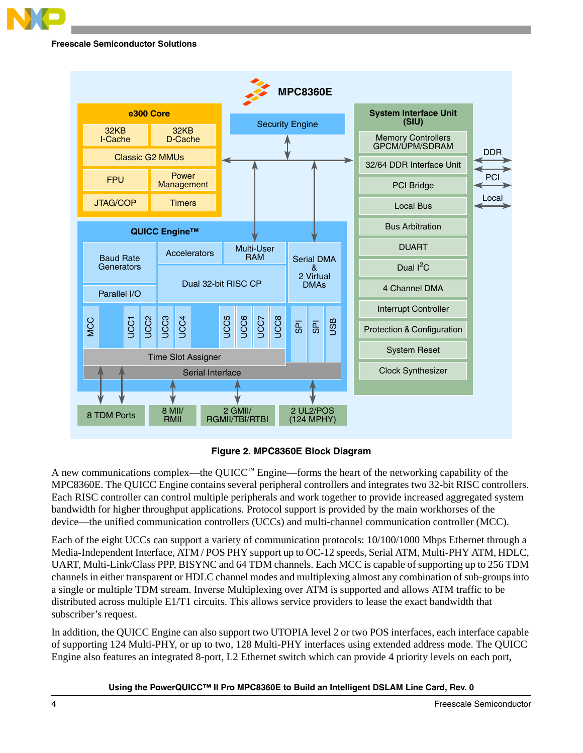

#### **Freescale Semiconductor Solutions**





<span id="page-3-0"></span>A new communications complex—the  $OUICC<sup>TM</sup>$  Engine—forms the heart of the networking capability of the MPC8360E. The QUICC Engine contains several peripheral controllers and integrates two 32-bit RISC controllers. Each RISC controller can control multiple peripherals and work together to provide increased aggregated system bandwidth for higher throughput applications. Protocol support is provided by the main workhorses of the device—the unified communication controllers (UCCs) and multi-channel communication controller (MCC).

Each of the eight UCCs can support a variety of communication protocols: 10/100/1000 Mbps Ethernet through a Media-Independent Interface, ATM / POS PHY support up to OC-12 speeds, Serial ATM, Multi-PHY ATM, HDLC, UART, Multi-Link/Class PPP, BISYNC and 64 TDM channels. Each MCC is capable of supporting up to 256 TDM channels in either transparent or HDLC channel modes and multiplexing almost any combination of sub-groups into a single or multiple TDM stream. Inverse Multiplexing over ATM is supported and allows ATM traffic to be distributed across multiple E1/T1 circuits. This allows service providers to lease the exact bandwidth that subscriber's request.

In addition, the QUICC Engine can also support two UTOPIA level 2 or two POS interfaces, each interface capable of supporting 124 Multi-PHY, or up to two, 128 Multi-PHY interfaces using extended address mode. The QUICC Engine also features an integrated 8-port, L2 Ethernet switch which can provide 4 priority levels on each port,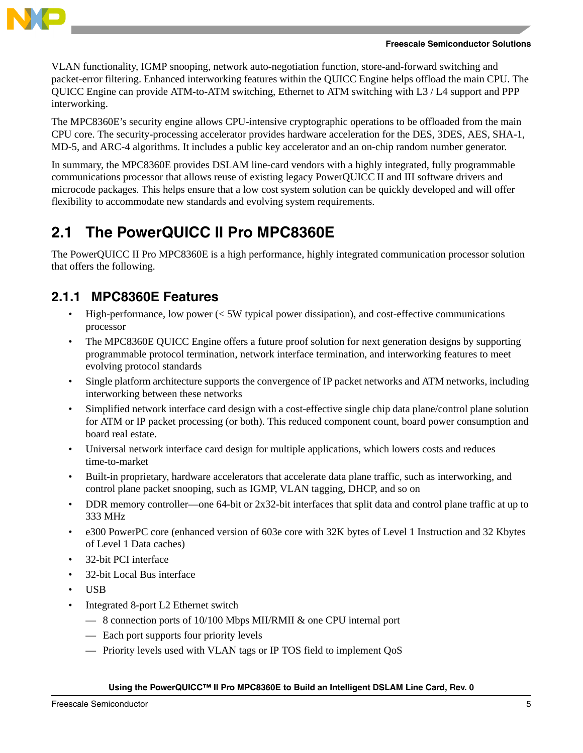

VLAN functionality, IGMP snooping, network auto-negotiation function, store-and-forward switching and packet-error filtering. Enhanced interworking features within the QUICC Engine helps offload the main CPU. The QUICC Engine can provide ATM-to-ATM switching, Ethernet to ATM switching with L3 / L4 support and PPP interworking.

The MPC8360E's security engine allows CPU-intensive cryptographic operations to be offloaded from the main CPU core. The security-processing accelerator provides hardware acceleration for the DES, 3DES, AES, SHA-1, MD-5, and ARC-4 algorithms. It includes a public key accelerator and an on-chip random number generator.

In summary, the MPC8360E provides DSLAM line-card vendors with a highly integrated, fully programmable communications processor that allows reuse of existing legacy PowerQUICC II and III software drivers and microcode packages. This helps ensure that a low cost system solution can be quickly developed and will offer flexibility to accommodate new standards and evolving system requirements.

# <span id="page-4-0"></span>**2.1 The PowerQUICC II Pro MPC8360E**

The PowerQUICC II Pro MPC8360E is a high performance, highly integrated communication processor solution that offers the following.

## **2.1.1 MPC8360E Features**

- High-performance, low power  $\leq 5W$  typical power dissipation), and cost-effective communications processor
- The MPC8360E QUICC Engine offers a future proof solution for next generation designs by supporting programmable protocol termination, network interface termination, and interworking features to meet evolving protocol standards
- Single platform architecture supports the convergence of IP packet networks and ATM networks, including interworking between these networks
- Simplified network interface card design with a cost-effective single chip data plane/control plane solution for ATM or IP packet processing (or both). This reduced component count, board power consumption and board real estate.
- Universal network interface card design for multiple applications, which lowers costs and reduces time-to-market
- Built-in proprietary, hardware accelerators that accelerate data plane traffic, such as interworking, and control plane packet snooping, such as IGMP, VLAN tagging, DHCP, and so on
- DDR memory controller—one 64-bit or 2x32-bit interfaces that split data and control plane traffic at up to 333 MHz
- e300 PowerPC core (enhanced version of 603e core with 32K bytes of Level 1 Instruction and 32 Kbytes of Level 1 Data caches)
- 32-bit PCI interface
- 32-bit Local Bus interface
- USB
- Integrated 8-port L2 Ethernet switch
	- 8 connection ports of 10/100 Mbps MII/RMII & one CPU internal port
	- Each port supports four priority levels
	- Priority levels used with VLAN tags or IP TOS field to implement QoS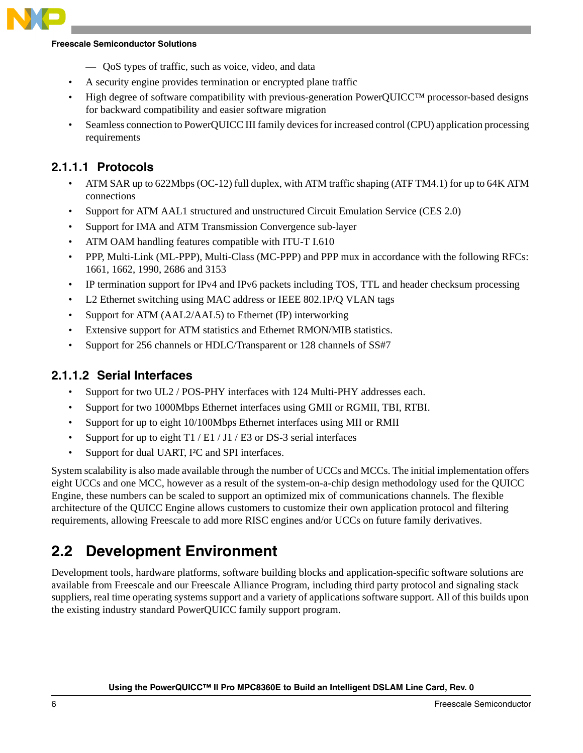### **Freescale Semiconductor Solutions**

- QoS types of traffic, such as voice, video, and data
- A security engine provides termination or encrypted plane traffic
- High degree of software compatibility with previous-generation PowerQUICC<sup>™</sup> processor-based designs for backward compatibility and easier software migration
- Seamless connection to PowerQUICC III family devices for increased control (CPU) application processing requirements

## **2.1.1.1 Protocols**

- ATM SAR up to 622Mbps (OC-12) full duplex, with ATM traffic shaping (ATF TM4.1) for up to 64K ATM connections
- Support for ATM AAL1 structured and unstructured Circuit Emulation Service (CES 2.0)
- Support for IMA and ATM Transmission Convergence sub-layer
- ATM OAM handling features compatible with ITU-T I.610
- PPP, Multi-Link (ML-PPP), Multi-Class (MC-PPP) and PPP mux in accordance with the following RFCs: 1661, 1662, 1990, 2686 and 3153
- IP termination support for IPv4 and IPv6 packets including TOS, TTL and header checksum processing
- L2 Ethernet switching using MAC address or IEEE 802.1P/Q VLAN tags
- Support for ATM (AAL2/AAL5) to Ethernet (IP) interworking
- Extensive support for ATM statistics and Ethernet RMON/MIB statistics.
- Support for 256 channels or HDLC/Transparent or 128 channels of SS#7

### **2.1.1.2 Serial Interfaces**

- Support for two UL2 / POS-PHY interfaces with 124 Multi-PHY addresses each.
- Support for two 1000Mbps Ethernet interfaces using GMII or RGMII, TBI, RTBI.
- Support for up to eight 10/100Mbps Ethernet interfaces using MII or RMII
- Support for up to eight  $T1 / E1 / J1 / E3$  or DS-3 serial interfaces
- Support for dual UART, I<sup>2</sup>C and SPI interfaces.

System scalability is also made available through the number of UCCs and MCCs. The initial implementation offers eight UCCs and one MCC, however as a result of the system-on-a-chip design methodology used for the QUICC Engine, these numbers can be scaled to support an optimized mix of communications channels. The flexible architecture of the QUICC Engine allows customers to customize their own application protocol and filtering requirements, allowing Freescale to add more RISC engines and/or UCCs on future family derivatives.

# <span id="page-5-0"></span>**2.2 Development Environment**

Development tools, hardware platforms, software building blocks and application-specific software solutions are available from Freescale and our Freescale Alliance Program, including third party protocol and signaling stack suppliers, real time operating systems support and a variety of applications software support. All of this builds upon the existing industry standard PowerQUICC family support program.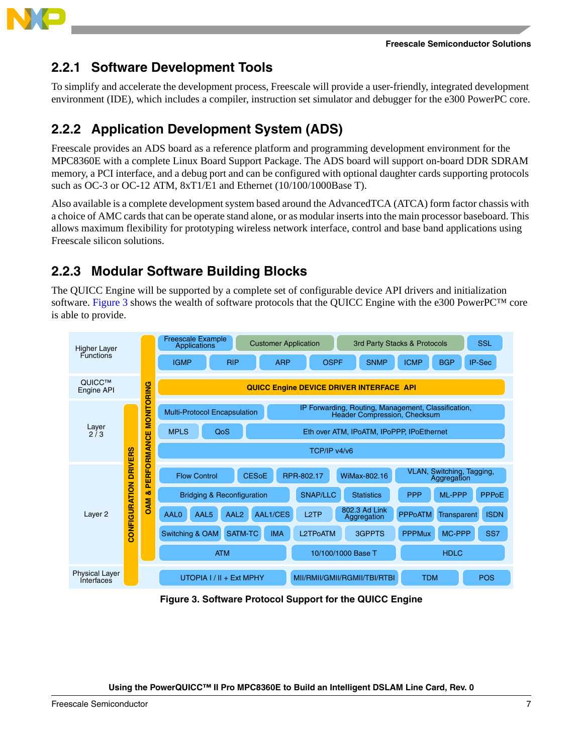

## **2.2.1 Software Development Tools**

To simplify and accelerate the development process, Freescale will provide a user-friendly, integrated development environment (IDE), which includes a compiler, instruction set simulator and debugger for the e300 PowerPC core.

## **2.2.2 Application Development System (ADS)**

Freescale provides an ADS board as a reference platform and programming development environment for the MPC8360E with a complete Linux Board Support Package. The ADS board will support on-board DDR SDRAM memory, a PCI interface, and a debug port and can be configured with optional daughter cards supporting protocols such as OC-3 or OC-12 ATM,  $8xT1/E1$  and Ethernet (10/100/1000Base T).

Also available is a complete development system based around the AdvancedTCA (ATCA) form factor chassis with a choice of AMC cards that can be operate stand alone, or as modular inserts into the main processor baseboard. This allows maximum flexibility for prototyping wireless network interface, control and base band applications using Freescale silicon solutions.

## **2.2.3 Modular Software Building Blocks**

The QUICC Engine will be supported by a complete set of configurable device API drivers and initialization software. [Figure 3](#page-6-0) shows the wealth of software protocols that the QUICC Engine with the e300 PowerPC™ core is able to provide.



<span id="page-6-0"></span>**Figure 3. Software Protocol Support for the QUICC Engine**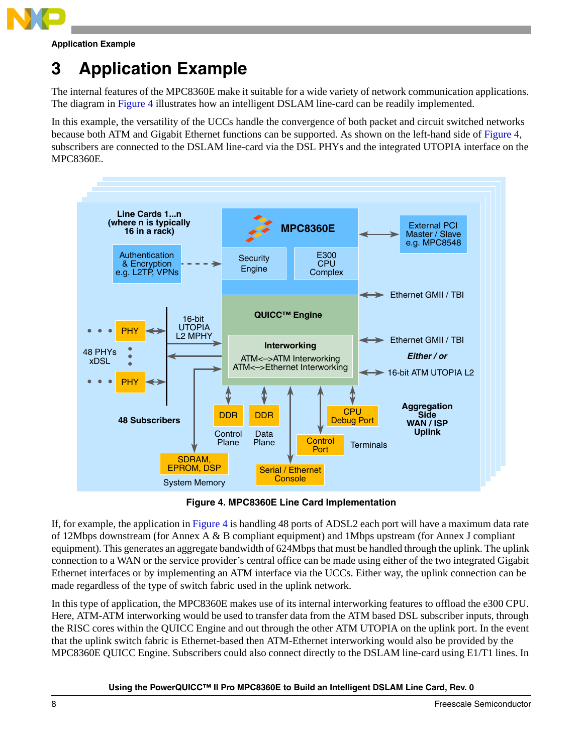

**Application Example**

# <span id="page-7-0"></span>**3 Application Example**

The internal features of the MPC8360E make it suitable for a wide variety of network communication applications. The diagram in [Figure 4](#page-7-1) illustrates how an intelligent DSLAM line-card can be readily implemented.

In this example, the versatility of the UCCs handle the convergence of both packet and circuit switched networks because both ATM and Gigabit Ethernet functions can be supported. As shown on the left-hand side of [Figure 4,](#page-7-1) subscribers are connected to the DSLAM line-card via the DSL PHYs and the integrated UTOPIA interface on the MPC8360E.



**Figure 4. MPC8360E Line Card Implementation**

<span id="page-7-1"></span>If, for example, the application in [Figure 4](#page-7-1) is handling 48 ports of ADSL2 each port will have a maximum data rate of 12Mbps downstream (for Annex A & B compliant equipment) and 1Mbps upstream (for Annex J compliant equipment). This generates an aggregate bandwidth of 624Mbps that must be handled through the uplink. The uplink connection to a WAN or the service provider's central office can be made using either of the two integrated Gigabit Ethernet interfaces or by implementing an ATM interface via the UCCs. Either way, the uplink connection can be made regardless of the type of switch fabric used in the uplink network.

In this type of application, the MPC8360E makes use of its internal interworking features to offload the e300 CPU. Here, ATM-ATM interworking would be used to transfer data from the ATM based DSL subscriber inputs, through the RISC cores within the QUICC Engine and out through the other ATM UTOPIA on the uplink port. In the event that the uplink switch fabric is Ethernet-based then ATM-Ethernet interworking would also be provided by the MPC8360E QUICC Engine. Subscribers could also connect directly to the DSLAM line-card using E1/T1 lines. In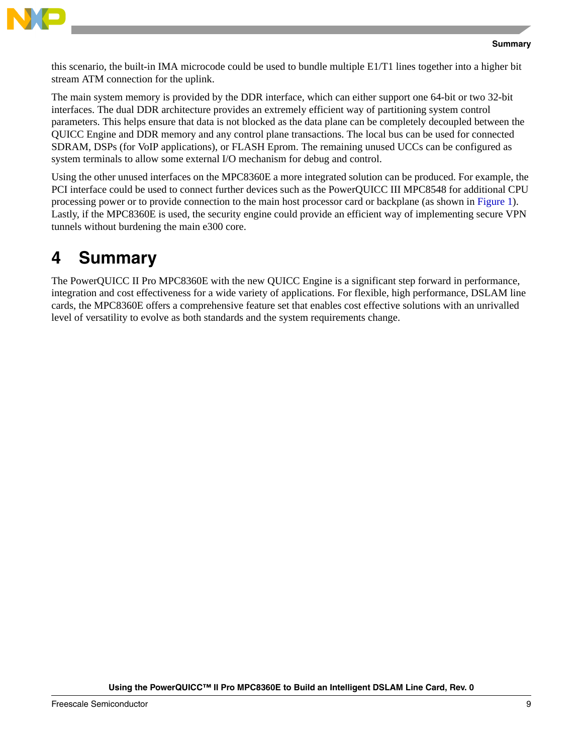

this scenario, the built-in IMA microcode could be used to bundle multiple E1/T1 lines together into a higher bit stream ATM connection for the uplink.

The main system memory is provided by the DDR interface, which can either support one 64-bit or two 32-bit interfaces. The dual DDR architecture provides an extremely efficient way of partitioning system control parameters. This helps ensure that data is not blocked as the data plane can be completely decoupled between the QUICC Engine and DDR memory and any control plane transactions. The local bus can be used for connected SDRAM, DSPs (for VoIP applications), or FLASH Eprom. The remaining unused UCCs can be configured as system terminals to allow some external I/O mechanism for debug and control.

Using the other unused interfaces on the MPC8360E a more integrated solution can be produced. For example, the PCI interface could be used to connect further devices such as the PowerQUICC III MPC8548 for additional CPU processing power or to provide connection to the main host processor card or backplane (as shown in [Figure 1\)](#page-1-1). Lastly, if the MPC8360E is used, the security engine could provide an efficient way of implementing secure VPN tunnels without burdening the main e300 core.

# <span id="page-8-0"></span>**4 Summary**

The PowerQUICC II Pro MPC8360E with the new QUICC Engine is a significant step forward in performance, integration and cost effectiveness for a wide variety of applications. For flexible, high performance, DSLAM line cards, the MPC8360E offers a comprehensive feature set that enables cost effective solutions with an unrivalled level of versatility to evolve as both standards and the system requirements change.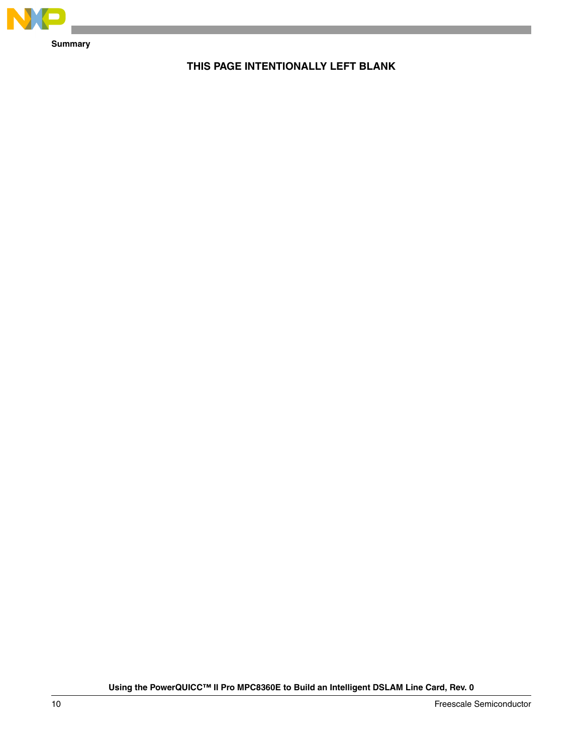

**Summary**

### **THIS PAGE INTENTIONALLY LEFT BLANK**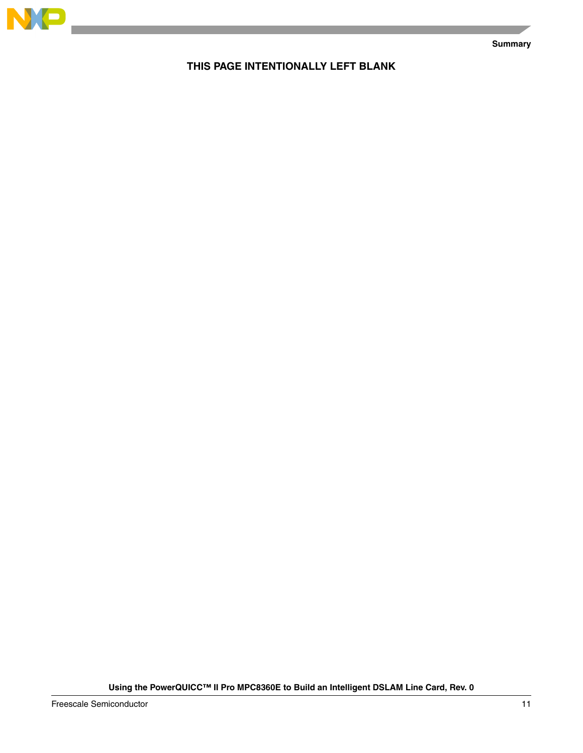

### **THIS PAGE INTENTIONALLY LEFT BLANK**